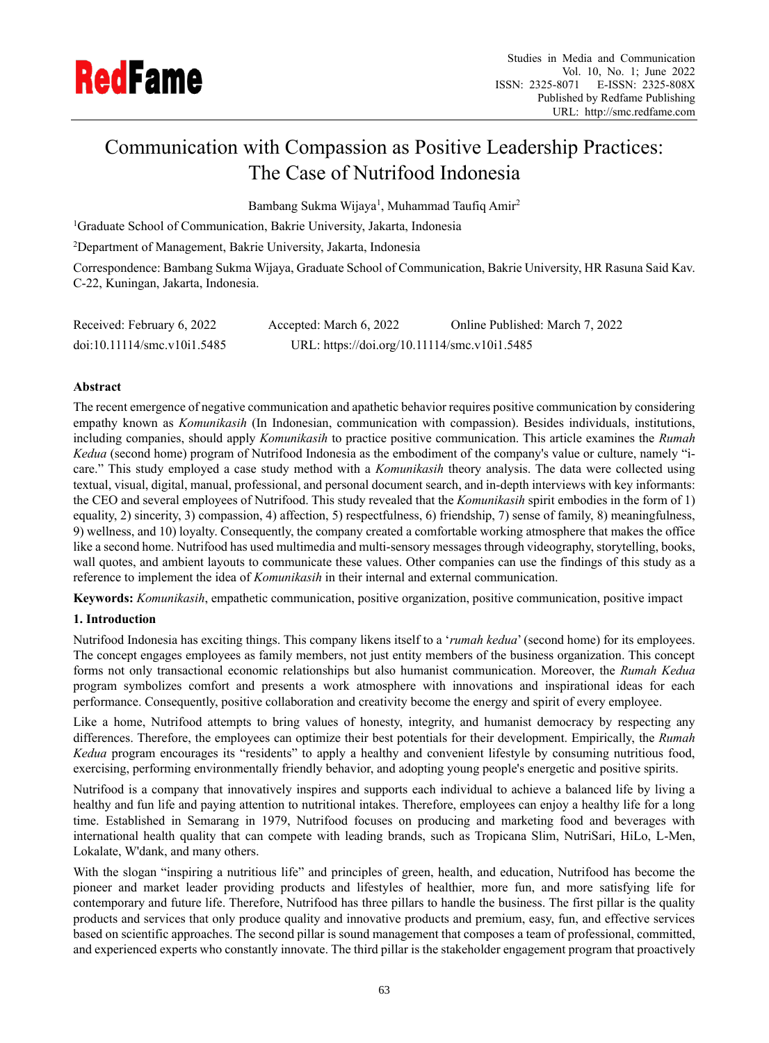

# Communication with Compassion as Positive Leadership Practices: The Case of Nutrifood Indonesia

Bambang Sukma Wijaya<sup>1</sup>, Muhammad Taufiq Amir<sup>2</sup>

<sup>1</sup>Graduate School of Communication, Bakrie University, Jakarta, Indonesia

<sup>2</sup>Department of Management, Bakrie University, Jakarta, Indonesia

Correspondence: Bambang Sukma Wijaya, Graduate School of Communication, Bakrie University, HR Rasuna Said Kav. C-22, Kuningan, Jakarta, Indonesia.

| Received: February 6, 2022  | Accepted: March 6, 2022                      | Online Published: March 7, 2022 |
|-----------------------------|----------------------------------------------|---------------------------------|
| doi:10.11114/smc.v10i1.5485 | URL: https://doi.org/10.11114/smc.v10i1.5485 |                                 |

# **Abstract**

The recent emergence of negative communication and apathetic behavior requires positive communication by considering empathy known as *Komunikasih* (In Indonesian, communication with compassion). Besides individuals, institutions, including companies, should apply *Komunikasih* to practice positive communication. This article examines the *Rumah Kedua* (second home) program of Nutrifood Indonesia as the embodiment of the company's value or culture, namely "icare." This study employed a case study method with a *Komunikasih* theory analysis. The data were collected using textual, visual, digital, manual, professional, and personal document search, and in-depth interviews with key informants: the CEO and several employees of Nutrifood. This study revealed that the *Komunikasih* spirit embodies in the form of 1) equality, 2) sincerity, 3) compassion, 4) affection, 5) respectfulness, 6) friendship, 7) sense of family, 8) meaningfulness, 9) wellness, and 10) loyalty. Consequently, the company created a comfortable working atmosphere that makes the office like a second home. Nutrifood has used multimedia and multi-sensory messages through videography, storytelling, books, wall quotes, and ambient layouts to communicate these values. Other companies can use the findings of this study as a reference to implement the idea of *Komunikasih* in their internal and external communication.

**Keywords:** *Komunikasih*, empathetic communication, positive organization, positive communication, positive impact

# **1. Introduction**

Nutrifood Indonesia has exciting things. This company likens itself to a '*rumah kedua*' (second home) for its employees. The concept engages employees as family members, not just entity members of the business organization. This concept forms not only transactional economic relationships but also humanist communication. Moreover, the *Rumah Kedua* program symbolizes comfort and presents a work atmosphere with innovations and inspirational ideas for each performance. Consequently, positive collaboration and creativity become the energy and spirit of every employee.

Like a home, Nutrifood attempts to bring values of honesty, integrity, and humanist democracy by respecting any differences. Therefore, the employees can optimize their best potentials for their development. Empirically, the *Rumah Kedua* program encourages its "residents" to apply a healthy and convenient lifestyle by consuming nutritious food, exercising, performing environmentally friendly behavior, and adopting young people's energetic and positive spirits.

Nutrifood is a company that innovatively inspires and supports each individual to achieve a balanced life by living a healthy and fun life and paying attention to nutritional intakes. Therefore, employees can enjoy a healthy life for a long time. Established in Semarang in 1979, Nutrifood focuses on producing and marketing food and beverages with international health quality that can compete with leading brands, such as Tropicana Slim, NutriSari, HiLo, L-Men, Lokalate, W'dank, and many others.

With the slogan "inspiring a nutritious life" and principles of green, health, and education, Nutrifood has become the pioneer and market leader providing products and lifestyles of healthier, more fun, and more satisfying life for contemporary and future life. Therefore, Nutrifood has three pillars to handle the business. The first pillar is the quality products and services that only produce quality and innovative products and premium, easy, fun, and effective services based on scientific approaches. The second pillar is sound management that composes a team of professional, committed, and experienced experts who constantly innovate. The third pillar is the stakeholder engagement program that proactively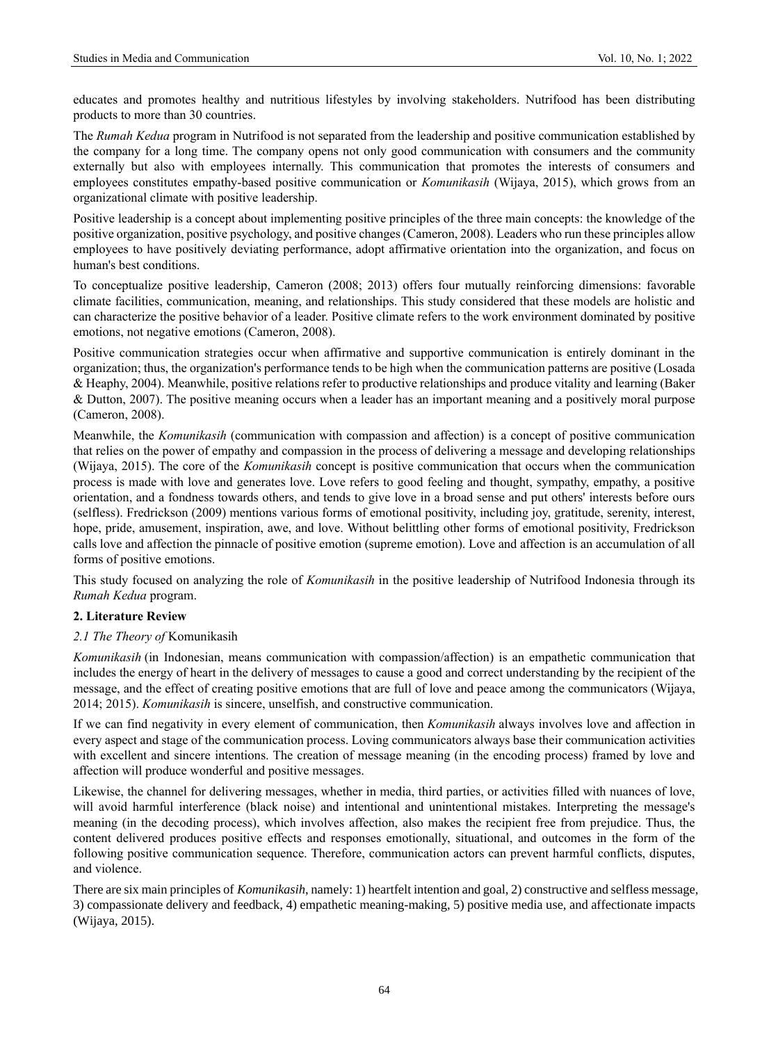educates and promotes healthy and nutritious lifestyles by involving stakeholders. Nutrifood has been distributing products to more than 30 countries.

The *Rumah Kedua* program in Nutrifood is not separated from the leadership and positive communication established by the company for a long time. The company opens not only good communication with consumers and the community externally but also with employees internally. This communication that promotes the interests of consumers and employees constitutes empathy-based positive communication or *Komunikasih* (Wijaya, 2015), which grows from an organizational climate with positive leadership.

Positive leadership is a concept about implementing positive principles of the three main concepts: the knowledge of the positive organization, positive psychology, and positive changes (Cameron, 2008). Leaders who run these principles allow employees to have positively deviating performance, adopt affirmative orientation into the organization, and focus on human's best conditions.

To conceptualize positive leadership, Cameron (2008; 2013) offers four mutually reinforcing dimensions: favorable climate facilities, communication, meaning, and relationships. This study considered that these models are holistic and can characterize the positive behavior of a leader. Positive climate refers to the work environment dominated by positive emotions, not negative emotions (Cameron, 2008).

Positive communication strategies occur when affirmative and supportive communication is entirely dominant in the organization; thus, the organization's performance tends to be high when the communication patterns are positive (Losada & Heaphy, 2004). Meanwhile, positive relations refer to productive relationships and produce vitality and learning (Baker & Dutton, 2007). The positive meaning occurs when a leader has an important meaning and a positively moral purpose (Cameron, 2008).

Meanwhile, the *Komunikasih* (communication with compassion and affection) is a concept of positive communication that relies on the power of empathy and compassion in the process of delivering a message and developing relationships (Wijaya, 2015). The core of the *Komunikasih* concept is positive communication that occurs when the communication process is made with love and generates love. Love refers to good feeling and thought, sympathy, empathy, a positive orientation, and a fondness towards others, and tends to give love in a broad sense and put others' interests before ours (selfless). Fredrickson (2009) mentions various forms of emotional positivity, including joy, gratitude, serenity, interest, hope, pride, amusement, inspiration, awe, and love. Without belittling other forms of emotional positivity, Fredrickson calls love and affection the pinnacle of positive emotion (supreme emotion). Love and affection is an accumulation of all forms of positive emotions.

This study focused on analyzing the role of *Komunikasih* in the positive leadership of Nutrifood Indonesia through its *Rumah Kedua* program.

## **2. Literature Review**

## *2.1 The Theory of* Komunikasih

*Komunikasih* (in Indonesian, means communication with compassion/affection) is an empathetic communication that includes the energy of heart in the delivery of messages to cause a good and correct understanding by the recipient of the message, and the effect of creating positive emotions that are full of love and peace among the communicators (Wijaya, 2014; 2015). *Komunikasih* is sincere, unselfish, and constructive communication.

If we can find negativity in every element of communication, then *Komunikasih* always involves love and affection in every aspect and stage of the communication process. Loving communicators always base their communication activities with excellent and sincere intentions. The creation of message meaning (in the encoding process) framed by love and affection will produce wonderful and positive messages.

Likewise, the channel for delivering messages, whether in media, third parties, or activities filled with nuances of love, will avoid harmful interference (black noise) and intentional and unintentional mistakes. Interpreting the message's meaning (in the decoding process), which involves affection, also makes the recipient free from prejudice. Thus, the content delivered produces positive effects and responses emotionally, situational, and outcomes in the form of the following positive communication sequence. Therefore, communication actors can prevent harmful conflicts, disputes, and violence.

There are six main principles of *Komunikasih*, namely: 1) heartfelt intention and goal, 2) constructive and selfless message, 3) compassionate delivery and feedback, 4) empathetic meaning-making, 5) positive media use, and affectionate impacts (Wijaya, 2015).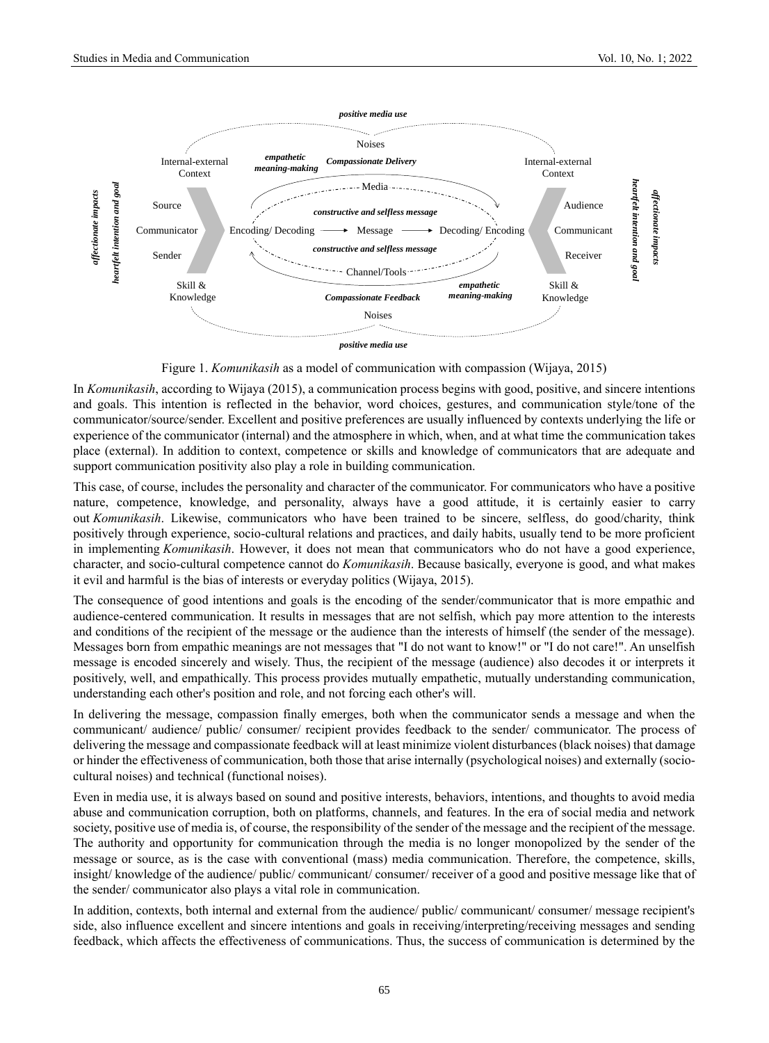

Figure 1. *Komunikasih* as a model of communication with compassion (Wijaya, 2015)

In *Komunikasih*, according to Wijaya (2015), a communication process begins with good, positive, and sincere intentions and goals. This intention is reflected in the behavior, word choices, gestures, and communication style/tone of the communicator/source/sender. Excellent and positive preferences are usually influenced by contexts underlying the life or experience of the communicator (internal) and the atmosphere in which, when, and at what time the communication takes place (external). In addition to context, competence or skills and knowledge of communicators that are adequate and support communication positivity also play a role in building communication.

This case, of course, includes the personality and character of the communicator. For communicators who have a positive nature, competence, knowledge, and personality, always have a good attitude, it is certainly easier to carry out *Komunikasih*. Likewise, communicators who have been trained to be sincere, selfless, do good/charity, think positively through experience, socio-cultural relations and practices, and daily habits, usually tend to be more proficient in implementing *Komunikasih*. However, it does not mean that communicators who do not have a good experience, character, and socio-cultural competence cannot do *Komunikasih*. Because basically, everyone is good, and what makes it evil and harmful is the bias of interests or everyday politics (Wijaya, 2015).

The consequence of good intentions and goals is the encoding of the sender/communicator that is more empathic and audience-centered communication. It results in messages that are not selfish, which pay more attention to the interests and conditions of the recipient of the message or the audience than the interests of himself (the sender of the message). Messages born from empathic meanings are not messages that "I do not want to know!" or "I do not care!". An unselfish message is encoded sincerely and wisely. Thus, the recipient of the message (audience) also decodes it or interprets it positively, well, and empathically. This process provides mutually empathetic, mutually understanding communication, understanding each other's position and role, and not forcing each other's will.

In delivering the message, compassion finally emerges, both when the communicator sends a message and when the communicant/ audience/ public/ consumer/ recipient provides feedback to the sender/ communicator. The process of delivering the message and compassionate feedback will at least minimize violent disturbances (black noises) that damage or hinder the effectiveness of communication, both those that arise internally (psychological noises) and externally (sociocultural noises) and technical (functional noises).

Even in media use, it is always based on sound and positive interests, behaviors, intentions, and thoughts to avoid media abuse and communication corruption, both on platforms, channels, and features. In the era of social media and network society, positive use of media is, of course, the responsibility of the sender of the message and the recipient of the message. The authority and opportunity for communication through the media is no longer monopolized by the sender of the message or source, as is the case with conventional (mass) media communication. Therefore, the competence, skills, insight/ knowledge of the audience/ public/ communicant/ consumer/ receiver of a good and positive message like that of the sender/ communicator also plays a vital role in communication.

In addition, contexts, both internal and external from the audience/ public/ communicant/ consumer/ message recipient's side, also influence excellent and sincere intentions and goals in receiving/interpreting/receiving messages and sending feedback, which affects the effectiveness of communications. Thus, the success of communication is determined by the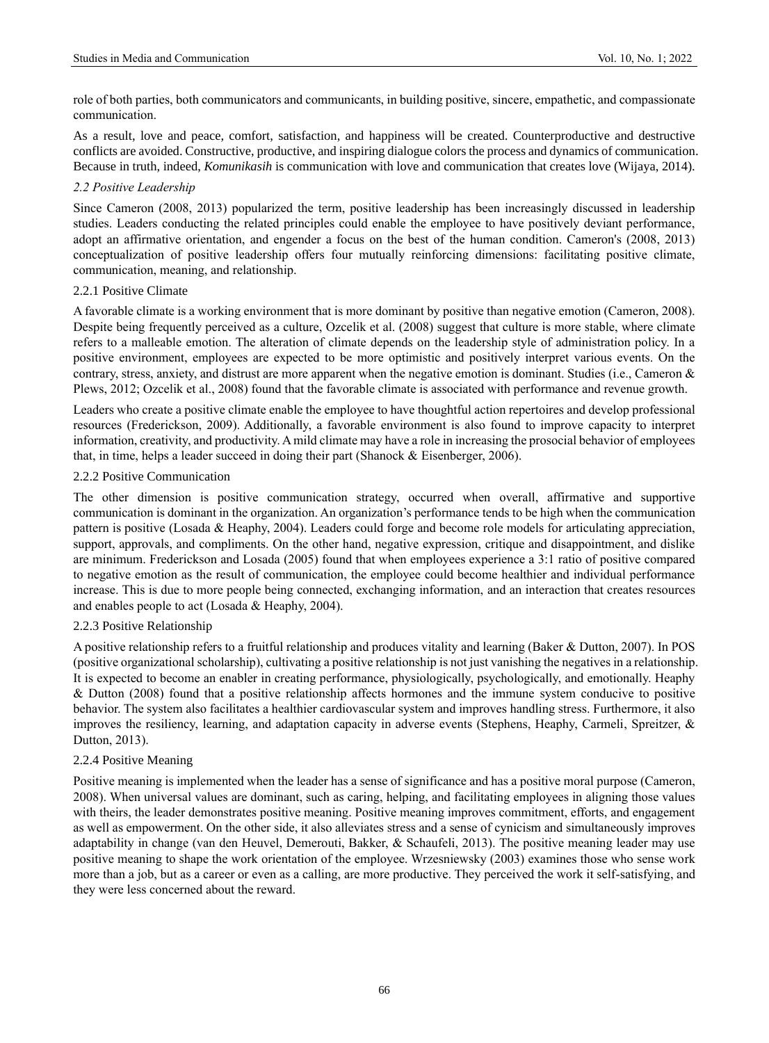role of both parties, both communicators and communicants, in building positive, sincere, empathetic, and compassionate communication.

As a result, love and peace, comfort, satisfaction, and happiness will be created. Counterproductive and destructive conflicts are avoided. Constructive, productive, and inspiring dialogue colors the process and dynamics of communication. Because in truth, indeed, *Komunikasih* is communication with love and communication that creates love (Wijaya, 2014).

## *2.2 Positive Leadership*

Since Cameron (2008, 2013) popularized the term, positive leadership has been increasingly discussed in leadership studies. Leaders conducting the related principles could enable the employee to have positively deviant performance, adopt an affirmative orientation, and engender a focus on the best of the human condition. Cameron's (2008, 2013) conceptualization of positive leadership offers four mutually reinforcing dimensions: facilitating positive climate, communication, meaning, and relationship.

## 2.2.1 Positive Climate

A favorable climate is a working environment that is more dominant by positive than negative emotion (Cameron, 2008). Despite being frequently perceived as a culture, Ozcelik et al. (2008) suggest that culture is more stable, where climate refers to a malleable emotion. The alteration of climate depends on the leadership style of administration policy. In a positive environment, employees are expected to be more optimistic and positively interpret various events. On the contrary, stress, anxiety, and distrust are more apparent when the negative emotion is dominant. Studies (i.e., Cameron & Plews, 2012; Ozcelik et al., 2008) found that the favorable climate is associated with performance and revenue growth.

Leaders who create a positive climate enable the employee to have thoughtful action repertoires and develop professional resources (Frederickson, 2009). Additionally, a favorable environment is also found to improve capacity to interpret information, creativity, and productivity. A mild climate may have a role in increasing the prosocial behavior of employees that, in time, helps a leader succeed in doing their part (Shanock & Eisenberger, 2006).

# 2.2.2 Positive Communication

The other dimension is positive communication strategy, occurred when overall, affirmative and supportive communication is dominant in the organization. An organization's performance tends to be high when the communication pattern is positive (Losada & Heaphy, 2004). Leaders could forge and become role models for articulating appreciation, support, approvals, and compliments. On the other hand, negative expression, critique and disappointment, and dislike are minimum. Frederickson and Losada (2005) found that when employees experience a 3:1 ratio of positive compared to negative emotion as the result of communication, the employee could become healthier and individual performance increase. This is due to more people being connected, exchanging information, and an interaction that creates resources and enables people to act (Losada & Heaphy, 2004).

# 2.2.3 Positive Relationship

A positive relationship refers to a fruitful relationship and produces vitality and learning (Baker & Dutton, 2007). In POS (positive organizational scholarship), cultivating a positive relationship is not just vanishing the negatives in a relationship. It is expected to become an enabler in creating performance, physiologically, psychologically, and emotionally. Heaphy & Dutton (2008) found that a positive relationship affects hormones and the immune system conducive to positive behavior. The system also facilitates a healthier cardiovascular system and improves handling stress. Furthermore, it also improves the resiliency, learning, and adaptation capacity in adverse events (Stephens, Heaphy, Carmeli, Spreitzer, & Dutton, 2013).

## 2.2.4 Positive Meaning

Positive meaning is implemented when the leader has a sense of significance and has a positive moral purpose (Cameron, 2008). When universal values are dominant, such as caring, helping, and facilitating employees in aligning those values with theirs, the leader demonstrates positive meaning. Positive meaning improves commitment, efforts, and engagement as well as empowerment. On the other side, it also alleviates stress and a sense of cynicism and simultaneously improves adaptability in change (van den Heuvel, Demerouti, Bakker, & Schaufeli, 2013). The positive meaning leader may use positive meaning to shape the work orientation of the employee. Wrzesniewsky (2003) examines those who sense work more than a job, but as a career or even as a calling, are more productive. They perceived the work it self-satisfying, and they were less concerned about the reward.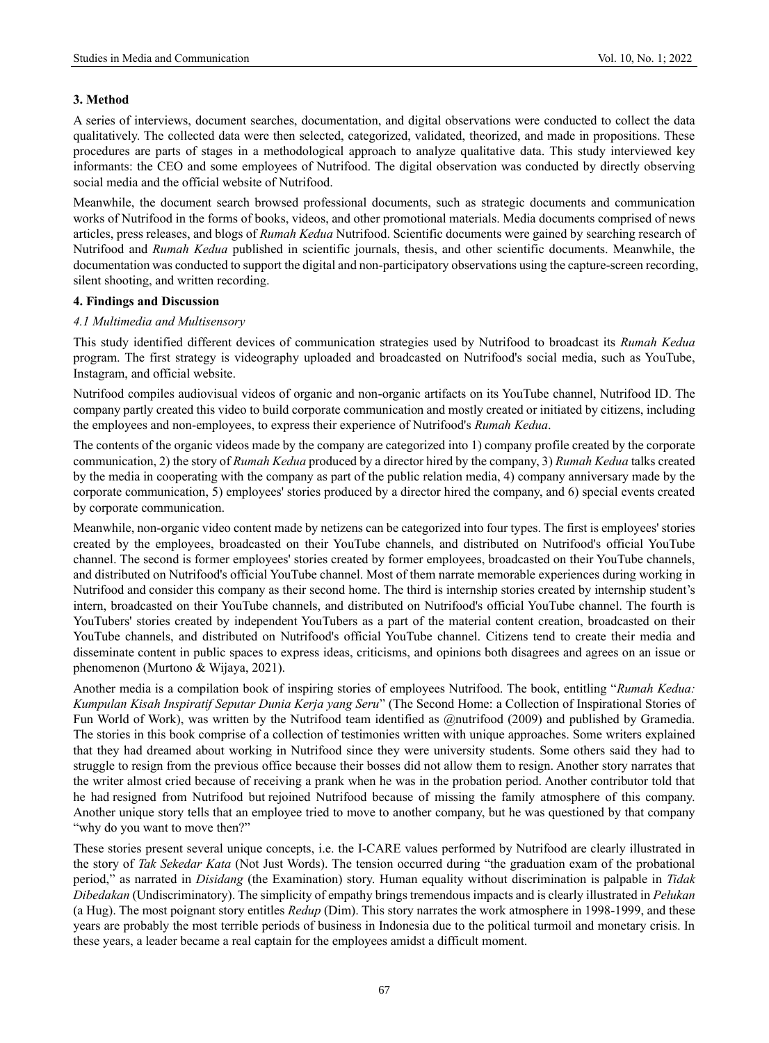## **3. Method**

A series of interviews, document searches, documentation, and digital observations were conducted to collect the data qualitatively. The collected data were then selected, categorized, validated, theorized, and made in propositions. These procedures are parts of stages in a methodological approach to analyze qualitative data. This study interviewed key informants: the CEO and some employees of Nutrifood. The digital observation was conducted by directly observing social media and the official website of Nutrifood.

Meanwhile, the document search browsed professional documents, such as strategic documents and communication works of Nutrifood in the forms of books, videos, and other promotional materials. Media documents comprised of news articles, press releases, and blogs of *Rumah Kedua* Nutrifood. Scientific documents were gained by searching research of Nutrifood and *Rumah Kedua* published in scientific journals, thesis, and other scientific documents. Meanwhile, the documentation was conducted to support the digital and non-participatory observations using the capture-screen recording, silent shooting, and written recording.

#### **4. Findings and Discussion**

## *4.1 Multimedia and Multisensory*

This study identified different devices of communication strategies used by Nutrifood to broadcast its *Rumah Kedua* program. The first strategy is videography uploaded and broadcasted on Nutrifood's social media, such as YouTube, Instagram, and official website.

Nutrifood compiles audiovisual videos of organic and non-organic artifacts on its YouTube channel, Nutrifood ID. The company partly created this video to build corporate communication and mostly created or initiated by citizens, including the employees and non-employees, to express their experience of Nutrifood's *Rumah Kedua*.

The contents of the organic videos made by the company are categorized into 1) company profile created by the corporate communication, 2) the story of *Rumah Kedua* produced by a director hired by the company, 3) *Rumah Kedua* talks created by the media in cooperating with the company as part of the public relation media, 4) company anniversary made by the corporate communication, 5) employees' stories produced by a director hired the company, and 6) special events created by corporate communication.

Meanwhile, non-organic video content made by netizens can be categorized into four types. The first is employees' stories created by the employees, broadcasted on their YouTube channels, and distributed on Nutrifood's official YouTube channel. The second is former employees' stories created by former employees, broadcasted on their YouTube channels, and distributed on Nutrifood's official YouTube channel. Most of them narrate memorable experiences during working in Nutrifood and consider this company as their second home. The third is internship stories created by internship student's intern, broadcasted on their YouTube channels, and distributed on Nutrifood's official YouTube channel. The fourth is YouTubers' stories created by independent YouTubers as a part of the material content creation, broadcasted on their YouTube channels, and distributed on Nutrifood's official YouTube channel. Citizens tend to create their media and disseminate content in public spaces to express ideas, criticisms, and opinions both disagrees and agrees on an issue or phenomenon (Murtono & Wijaya, 2021).

Another media is a compilation book of inspiring stories of employees Nutrifood. The book, entitling "*Rumah Kedua: Kumpulan Kisah Inspiratif Seputar Dunia Kerja yang Seru*" (The Second Home: a Collection of Inspirational Stories of Fun World of Work), was written by the Nutrifood team identified as @nutrifood (2009) and published by Gramedia. The stories in this book comprise of a collection of testimonies written with unique approaches. Some writers explained that they had dreamed about working in Nutrifood since they were university students. Some others said they had to struggle to resign from the previous office because their bosses did not allow them to resign. Another story narrates that the writer almost cried because of receiving a prank when he was in the probation period. Another contributor told that he had resigned from Nutrifood but rejoined Nutrifood because of missing the family atmosphere of this company. Another unique story tells that an employee tried to move to another company, but he was questioned by that company "why do you want to move then?"

These stories present several unique concepts, i.e. the I-CARE values performed by Nutrifood are clearly illustrated in the story of *Tak Sekedar Kata* (Not Just Words). The tension occurred during "the graduation exam of the probational period," as narrated in *Disidang* (the Examination) story. Human equality without discrimination is palpable in *Tidak Dibedakan* (Undiscriminatory). The simplicity of empathy brings tremendous impacts and is clearly illustrated in *Pelukan* (a Hug). The most poignant story entitles *Redup* (Dim). This story narrates the work atmosphere in 1998-1999, and these years are probably the most terrible periods of business in Indonesia due to the political turmoil and monetary crisis. In these years, a leader became a real captain for the employees amidst a difficult moment.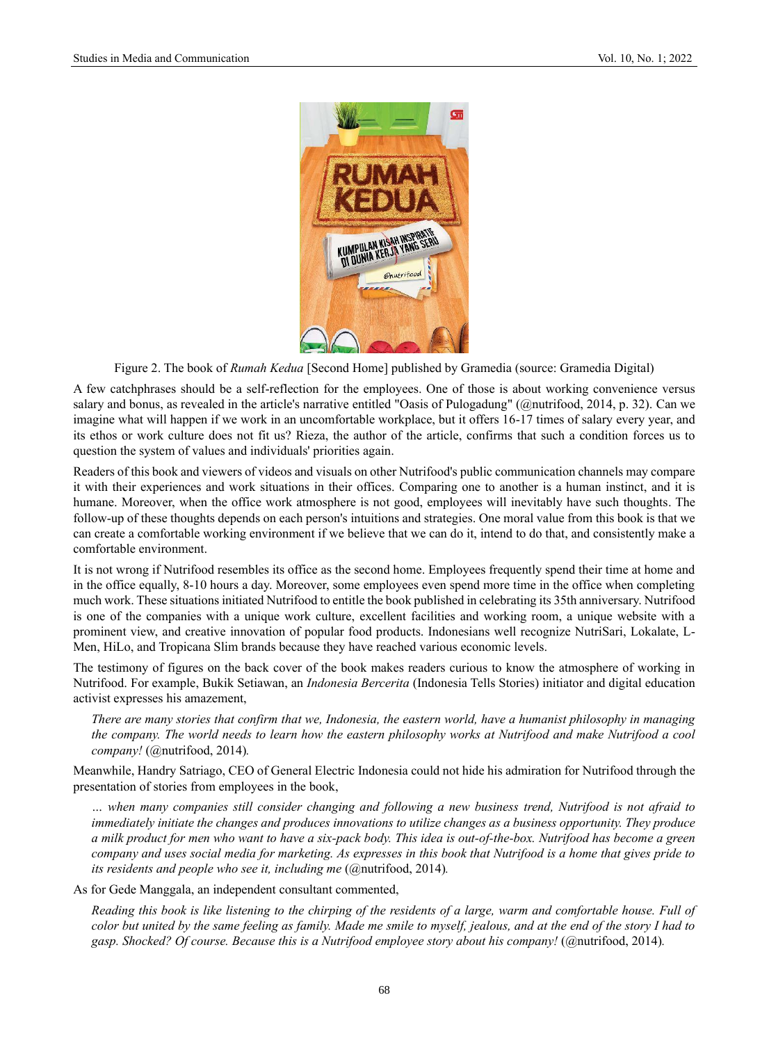

Figure 2. The book of *Rumah Kedua* [Second Home] published by Gramedia (source: Gramedia Digital)

A few catchphrases should be a self-reflection for the employees. One of those is about working convenience versus salary and bonus, as revealed in the article's narrative entitled "Oasis of Pulogadung" (@nutrifood, 2014, p. 32). Can we imagine what will happen if we work in an uncomfortable workplace, but it offers 16-17 times of salary every year, and its ethos or work culture does not fit us? Rieza, the author of the article, confirms that such a condition forces us to question the system of values and individuals' priorities again.

Readers of this book and viewers of videos and visuals on other Nutrifood's public communication channels may compare it with their experiences and work situations in their offices. Comparing one to another is a human instinct, and it is humane. Moreover, when the office work atmosphere is not good, employees will inevitably have such thoughts. The follow-up of these thoughts depends on each person's intuitions and strategies. One moral value from this book is that we can create a comfortable working environment if we believe that we can do it, intend to do that, and consistently make a comfortable environment.

It is not wrong if Nutrifood resembles its office as the second home. Employees frequently spend their time at home and in the office equally, 8-10 hours a day. Moreover, some employees even spend more time in the office when completing much work. These situations initiated Nutrifood to entitle the book published in celebrating its 35th anniversary. Nutrifood is one of the companies with a unique work culture, excellent facilities and working room, a unique website with a prominent view, and creative innovation of popular food products. Indonesians well recognize NutriSari, Lokalate, L-Men, HiLo, and Tropicana Slim brands because they have reached various economic levels.

The testimony of figures on the back cover of the book makes readers curious to know the atmosphere of working in Nutrifood. For example, Bukik Setiawan, an *Indonesia Bercerita* (Indonesia Tells Stories) initiator and digital education activist expresses his amazement,

*There are many stories that confirm that we, Indonesia, the eastern world, have a humanist philosophy in managing the company. The world needs to learn how the eastern philosophy works at Nutrifood and make Nutrifood a cool company!* (@nutrifood, 2014)*.*

Meanwhile, Handry Satriago, CEO of General Electric Indonesia could not hide his admiration for Nutrifood through the presentation of stories from employees in the book,

*… when many companies still consider changing and following a new business trend, Nutrifood is not afraid to immediately initiate the changes and produces innovations to utilize changes as a business opportunity. They produce a milk product for men who want to have a six-pack body. This idea is out-of-the-box. Nutrifood has become a green company and uses social media for marketing. As expresses in this book that Nutrifood is a home that gives pride to its residents and people who see it, including me (@nutrifood, 2014).* 

As for Gede Manggala, an independent consultant commented,

*Reading this book is like listening to the chirping of the residents of a large, warm and comfortable house. Full of color but united by the same feeling as family. Made me smile to myself, jealous, and at the end of the story I had to gasp. Shocked? Of course. Because this is a Nutrifood employee story about his company!* (@nutrifood, 2014)*.*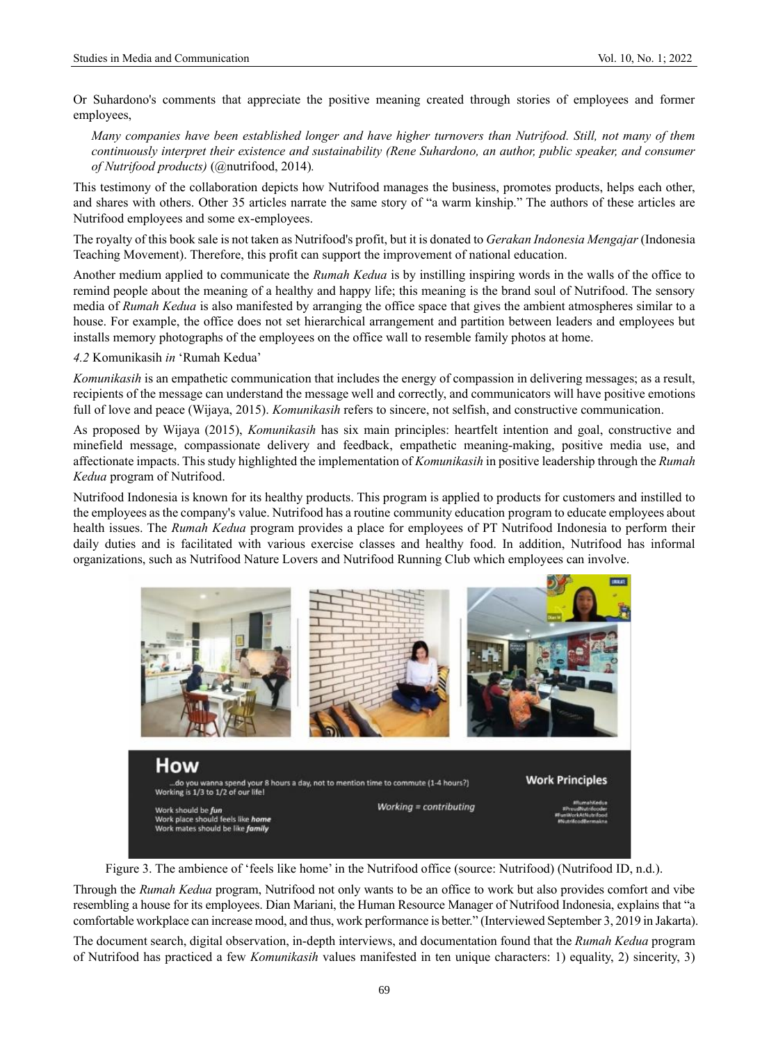Or Suhardono's comments that appreciate the positive meaning created through stories of employees and former employees,

*Many companies have been established longer and have higher turnovers than Nutrifood. Still, not many of them continuously interpret their existence and sustainability (Rene Suhardono, an author, public speaker, and consumer of Nutrifood products)* (@nutrifood, 2014)*.*

This testimony of the collaboration depicts how Nutrifood manages the business, promotes products, helps each other, and shares with others. Other 35 articles narrate the same story of "a warm kinship." The authors of these articles are Nutrifood employees and some ex-employees.

The royalty of this book sale is not taken as Nutrifood's profit, but it is donated to *Gerakan Indonesia Mengajar* (Indonesia Teaching Movement). Therefore, this profit can support the improvement of national education.

Another medium applied to communicate the *Rumah Kedua* is by instilling inspiring words in the walls of the office to remind people about the meaning of a healthy and happy life; this meaning is the brand soul of Nutrifood. The sensory media of *Rumah Kedua* is also manifested by arranging the office space that gives the ambient atmospheres similar to a house. For example, the office does not set hierarchical arrangement and partition between leaders and employees but installs memory photographs of the employees on the office wall to resemble family photos at home.

*4.2* Komunikasih *in* 'Rumah Kedua'

*Komunikasih* is an empathetic communication that includes the energy of compassion in delivering messages; as a result, recipients of the message can understand the message well and correctly, and communicators will have positive emotions full of love and peace (Wijaya, 2015). *Komunikasih* refers to sincere, not selfish, and constructive communication.

As proposed by Wijaya (2015), *Komunikasih* has six main principles: heartfelt intention and goal, constructive and minefield message, compassionate delivery and feedback, empathetic meaning-making, positive media use, and affectionate impacts. This study highlighted the implementation of *Komunikasih* in positive leadership through the *Rumah Kedua* program of Nutrifood.

Nutrifood Indonesia is known for its healthy products. This program is applied to products for customers and instilled to the employees as the company's value. Nutrifood has a routine community education program to educate employees about health issues. The *Rumah Kedua* program provides a place for employees of PT Nutrifood Indonesia to perform their daily duties and is facilitated with various exercise classes and healthy food. In addition, Nutrifood has informal organizations, such as Nutrifood Nature Lovers and Nutrifood Running Club which employees can involve.



Figure 3. The ambience of 'feels like home' in the Nutrifood office (source: Nutrifood) (Nutrifood ID, n.d.).

Through the *Rumah Kedua* program, Nutrifood not only wants to be an office to work but also provides comfort and vibe resembling a house for its employees. Dian Mariani, the Human Resource Manager of Nutrifood Indonesia, explains that "a comfortable workplace can increase mood, and thus, work performance is better." (Interviewed September 3, 2019 in Jakarta).

The document search, digital observation, in-depth interviews, and documentation found that the *Rumah Kedua* program of Nutrifood has practiced a few *Komunikasih* values manifested in ten unique characters: 1) equality, 2) sincerity, 3)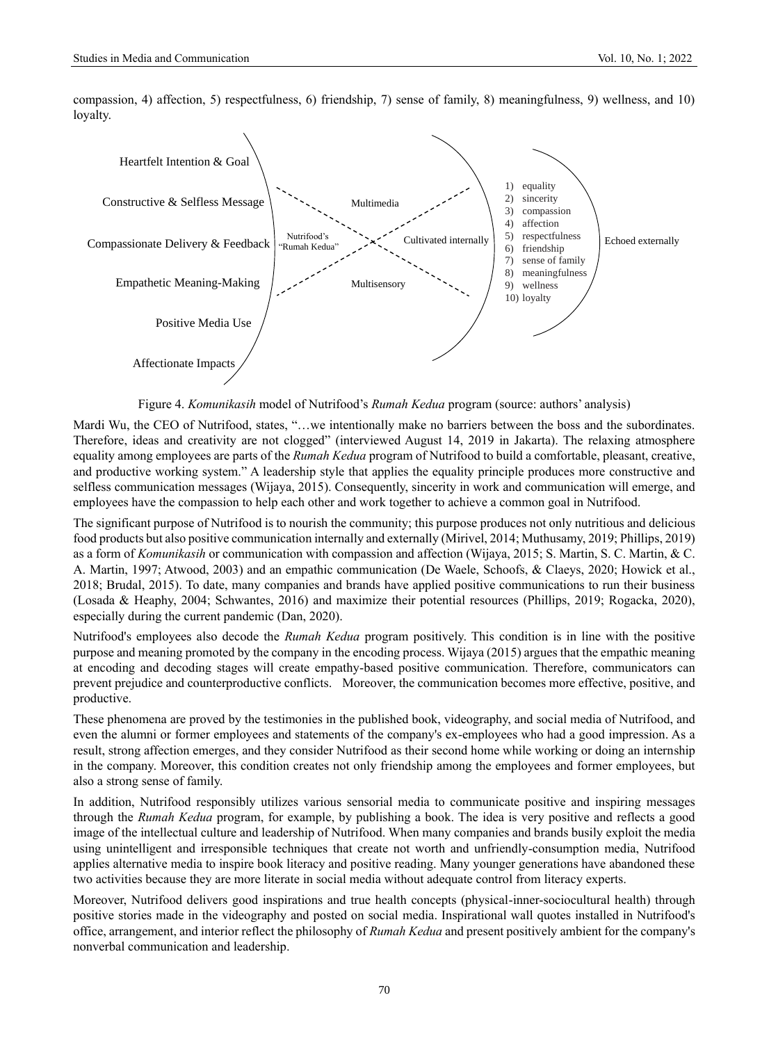compassion, 4) affection, 5) respectfulness, 6) friendship, 7) sense of family, 8) meaningfulness, 9) wellness, and 10) loyalty.



Figure 4. *Komunikasih* model of Nutrifood's *Rumah Kedua* program (source: authors' analysis)

Mardi Wu, the CEO of Nutrifood, states, "…we intentionally make no barriers between the boss and the subordinates. Therefore, ideas and creativity are not clogged" (interviewed August 14, 2019 in Jakarta). The relaxing atmosphere equality among employees are parts of the *Rumah Kedua* program of Nutrifood to build a comfortable, pleasant, creative, and productive working system." A leadership style that applies the equality principle produces more constructive and selfless communication messages (Wijaya, 2015). Consequently, sincerity in work and communication will emerge, and employees have the compassion to help each other and work together to achieve a common goal in Nutrifood.

The significant purpose of Nutrifood is to nourish the community; this purpose produces not only nutritious and delicious food products but also positive communication internally and externally (Mirivel, 2014; Muthusamy, 2019; Phillips, 2019) as a form of *Komunikasih* or communication with compassion and affection (Wijaya, 2015; S. Martin, S. C. Martin, & C. A. Martin, 1997; Atwood, 2003) and an empathic communication (De Waele, Schoofs, & Claeys, 2020; Howick et al., 2018; Brudal, 2015). To date, many companies and brands have applied positive communications to run their business (Losada & Heaphy, 2004; Schwantes, 2016) and maximize their potential resources (Phillips, 2019; Rogacka, 2020), especially during the current pandemic (Dan, 2020).

Nutrifood's employees also decode the *Rumah Kedua* program positively. This condition is in line with the positive purpose and meaning promoted by the company in the encoding process. Wijaya (2015) argues that the empathic meaning at encoding and decoding stages will create empathy-based positive communication. Therefore, communicators can prevent prejudice and counterproductive conflicts. Moreover, the communication becomes more effective, positive, and productive.

These phenomena are proved by the testimonies in the published book, videography, and social media of Nutrifood, and even the alumni or former employees and statements of the company's ex-employees who had a good impression. As a result, strong affection emerges, and they consider Nutrifood as their second home while working or doing an internship in the company. Moreover, this condition creates not only friendship among the employees and former employees, but also a strong sense of family.

In addition, Nutrifood responsibly utilizes various sensorial media to communicate positive and inspiring messages through the *Rumah Kedua* program, for example, by publishing a book. The idea is very positive and reflects a good image of the intellectual culture and leadership of Nutrifood. When many companies and brands busily exploit the media using unintelligent and irresponsible techniques that create not worth and unfriendly-consumption media, Nutrifood applies alternative media to inspire book literacy and positive reading. Many younger generations have abandoned these two activities because they are more literate in social media without adequate control from literacy experts.

Moreover, Nutrifood delivers good inspirations and true health concepts (physical-inner-sociocultural health) through positive stories made in the videography and posted on social media. Inspirational wall quotes installed in Nutrifood's office, arrangement, and interior reflect the philosophy of *Rumah Kedua* and present positively ambient for the company's nonverbal communication and leadership.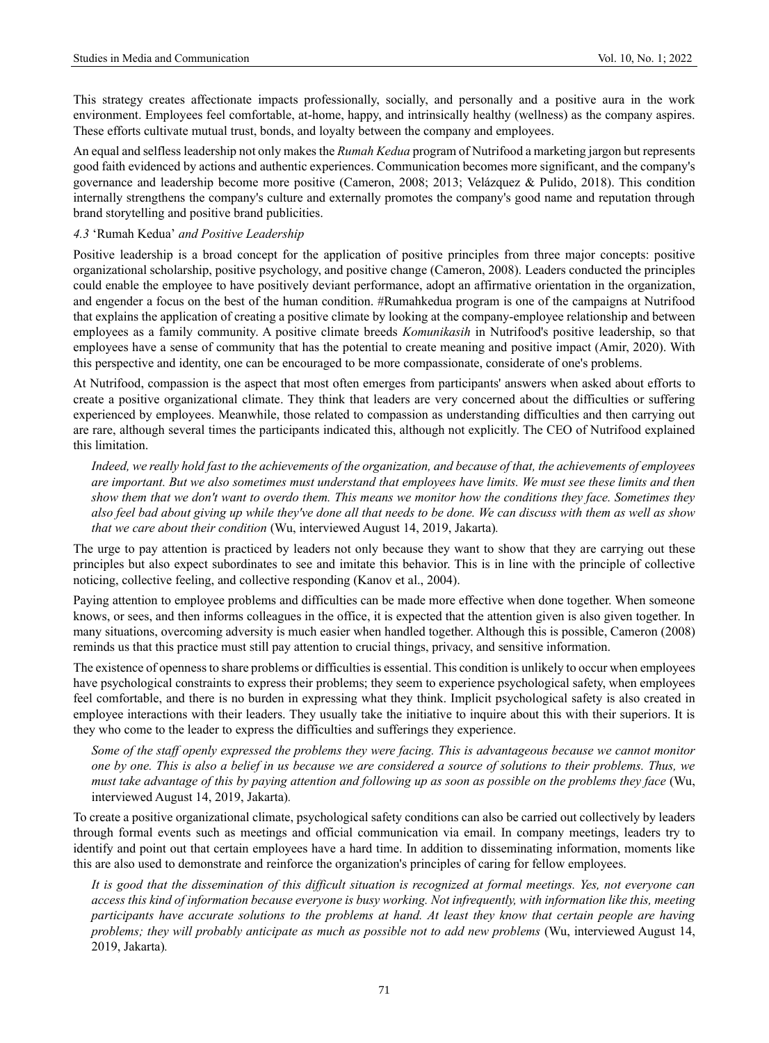This strategy creates affectionate impacts professionally, socially, and personally and a positive aura in the work environment. Employees feel comfortable, at-home, happy, and intrinsically healthy (wellness) as the company aspires. These efforts cultivate mutual trust, bonds, and loyalty between the company and employees.

An equal and selfless leadership not only makes the *Rumah Kedua* program of Nutrifood a marketing jargon but represents good faith evidenced by actions and authentic experiences. Communication becomes more significant, and the company's governance and leadership become more positive (Cameron, 2008; 2013; Velázquez & Pulido, 2018). This condition internally strengthens the company's culture and externally promotes the company's good name and reputation through brand storytelling and positive brand publicities.

#### *4.3* 'Rumah Kedua' *and Positive Leadership*

Positive leadership is a broad concept for the application of positive principles from three major concepts: positive organizational scholarship, positive psychology, and positive change (Cameron, 2008). Leaders conducted the principles could enable the employee to have positively deviant performance, adopt an affirmative orientation in the organization, and engender a focus on the best of the human condition. #Rumahkedua program is one of the campaigns at Nutrifood that explains the application of creating a positive climate by looking at the company-employee relationship and between employees as a family community. A positive climate breeds *Komunikasih* in Nutrifood's positive leadership, so that employees have a sense of community that has the potential to create meaning and positive impact (Amir, 2020). With this perspective and identity, one can be encouraged to be more compassionate, considerate of one's problems.

At Nutrifood, compassion is the aspect that most often emerges from participants' answers when asked about efforts to create a positive organizational climate. They think that leaders are very concerned about the difficulties or suffering experienced by employees. Meanwhile, those related to compassion as understanding difficulties and then carrying out are rare, although several times the participants indicated this, although not explicitly. The CEO of Nutrifood explained this limitation.

*Indeed, we really hold fast to the achievements of the organization, and because of that, the achievements of employees are important. But we also sometimes must understand that employees have limits. We must see these limits and then show them that we don't want to overdo them. This means we monitor how the conditions they face. Sometimes they also feel bad about giving up while they've done all that needs to be done. We can discuss with them as well as show that we care about their condition* (Wu, interviewed August 14, 2019, Jakarta)*.*

The urge to pay attention is practiced by leaders not only because they want to show that they are carrying out these principles but also expect subordinates to see and imitate this behavior. This is in line with the principle of collective noticing, collective feeling, and collective responding (Kanov et al., 2004).

Paying attention to employee problems and difficulties can be made more effective when done together. When someone knows, or sees, and then informs colleagues in the office, it is expected that the attention given is also given together. In many situations, overcoming adversity is much easier when handled together. Although this is possible, Cameron (2008) reminds us that this practice must still pay attention to crucial things, privacy, and sensitive information.

The existence of openness to share problems or difficulties is essential. This condition is unlikely to occur when employees have psychological constraints to express their problems; they seem to experience psychological safety, when employees feel comfortable, and there is no burden in expressing what they think. Implicit psychological safety is also created in employee interactions with their leaders. They usually take the initiative to inquire about this with their superiors. It is they who come to the leader to express the difficulties and sufferings they experience.

*Some of the staff openly expressed the problems they were facing. This is advantageous because we cannot monitor one by one. This is also a belief in us because we are considered a source of solutions to their problems. Thus, we must take advantage of this by paying attention and following up as soon as possible on the problems they face* (Wu, interviewed August 14, 2019, Jakarta)*.*

To create a positive organizational climate, psychological safety conditions can also be carried out collectively by leaders through formal events such as meetings and official communication via email. In company meetings, leaders try to identify and point out that certain employees have a hard time. In addition to disseminating information, moments like this are also used to demonstrate and reinforce the organization's principles of caring for fellow employees.

*It is good that the dissemination of this difficult situation is recognized at formal meetings. Yes, not everyone can access this kind of information because everyone is busy working. Not infrequently, with information like this, meeting participants have accurate solutions to the problems at hand. At least they know that certain people are having problems; they will probably anticipate as much as possible not to add new problems* (Wu, interviewed August 14, 2019, Jakarta)*.*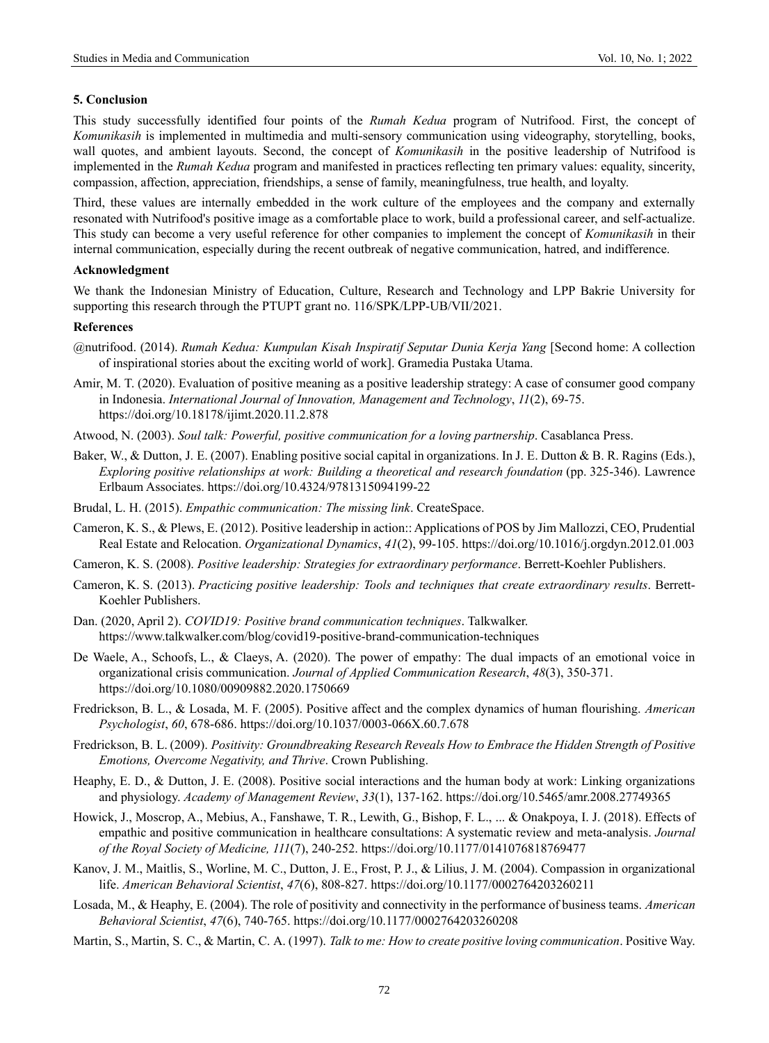#### **5. Conclusion**

This study successfully identified four points of the *Rumah Kedua* program of Nutrifood. First, the concept of *Komunikasih* is implemented in multimedia and multi-sensory communication using videography, storytelling, books, wall quotes, and ambient layouts. Second, the concept of *Komunikasih* in the positive leadership of Nutrifood is implemented in the *Rumah Kedua* program and manifested in practices reflecting ten primary values: equality, sincerity, compassion, affection, appreciation, friendships, a sense of family, meaningfulness, true health, and loyalty.

Third, these values are internally embedded in the work culture of the employees and the company and externally resonated with Nutrifood's positive image as a comfortable place to work, build a professional career, and self-actualize. This study can become a very useful reference for other companies to implement the concept of *Komunikasih* in their internal communication, especially during the recent outbreak of negative communication, hatred, and indifference.

#### **Acknowledgment**

We thank the Indonesian Ministry of Education, Culture, Research and Technology and LPP Bakrie University for supporting this research through the PTUPT grant no. 116/SPK/LPP-UB/VII/2021.

#### **References**

- @nutrifood. (2014). *Rumah Kedua: Kumpulan Kisah Inspiratif Seputar Dunia Kerja Yang* [Second home: A collection of inspirational stories about the exciting world of work]. Gramedia Pustaka Utama.
- Amir, M. T. (2020). Evaluation of positive meaning as a positive leadership strategy: A case of consumer good company in Indonesia. *International Journal of Innovation, Management and Technology*, *11*(2), 69-75. https://doi.org/10.18178/ijimt.2020.11.2.878
- Atwood, N. (2003). *Soul talk: Powerful, positive communication for a loving partnership*. Casablanca Press.
- Baker, W., & Dutton, J. E. (2007). Enabling positive social capital in organizations. In J. E. Dutton & B. R. Ragins (Eds.), *Exploring positive relationships at work: Building a theoretical and research foundation* (pp. 325-346). Lawrence Erlbaum Associates. <https://doi.org/10.4324/9781315094199-22>
- Brudal, L. H. (2015). *Empathic communication: The missing link*. CreateSpace.
- Cameron, K. S., & Plews, E. (2012). Positive leadership in action:: Applications of POS by Jim Mallozzi, CEO, Prudential Real Estate and Relocation. *Organizational Dynamics*, *41*(2), 99-105.<https://doi.org/10.1016/j.orgdyn.2012.01.003>
- Cameron, K. S. (2008). *Positive leadership: Strategies for extraordinary performance*. Berrett-Koehler Publishers.
- Cameron, K. S. (2013). *Practicing positive leadership: Tools and techniques that create extraordinary results*. Berrett-Koehler Publishers.
- Dan. (2020, April 2). *COVID19: Positive brand communication techniques*. Talkwalker. https://www.talkwalker.com/blog/covid19-positive-brand-communication-techniques
- De Waele, A., Schoofs, L., & Claeys, A. (2020). The power of empathy: The dual impacts of an emotional voice in organizational crisis communication. *Journal of Applied Communication Research*, *48*(3), 350-371. https://doi.org/10.1080/00909882.2020.1750669
- Fredrickson, B. L., & Losada, M. F. (2005). Positive affect and the complex dynamics of human flourishing. *American Psychologist*, *60*, 678-686.<https://doi.org/10.1037/0003-066X.60.7.678>
- Fredrickson, B. L. (2009). *Positivity: Groundbreaking Research Reveals How to Embrace the Hidden Strength of Positive Emotions, Overcome Negativity, and Thrive*. Crown Publishing.
- Heaphy, E. D., & Dutton, J. E. (2008). Positive social interactions and the human body at work: Linking organizations and physiology. *Academy of Management Review*, *33*(1), 137-162.<https://doi.org/10.5465/amr.2008.27749365>
- Howick, J., Moscrop, A., Mebius, A., Fanshawe, T. R., Lewith, G., Bishop, F. L., ... & Onakpoya, I. J. (2018). Effects of empathic and positive communication in healthcare consultations: A systematic review and meta-analysis. *Journal of the Royal Society of Medicine, 111*(7), 240-252. https://doi.org/10.1177/0141076818769477
- Kanov, J. M., Maitlis, S., Worline, M. C., Dutton, J. E., Frost, P. J., & Lilius, J. M. (2004). Compassion in organizational life. *American Behavioral Scientist*, *47*(6), 808-827. https://doi.org/10.1177/0002764203260211
- Losada, M., & Heaphy, E. (2004). The role of positivity and connectivity in the performance of business teams. *American Behavioral Scientist*, *47*(6), 740-765. https://doi.org/10.1177/0002764203260208
- Martin, S., Martin, S. C., & Martin, C. A. (1997). *Talk to me: How to create positive loving communication*. Positive Way.